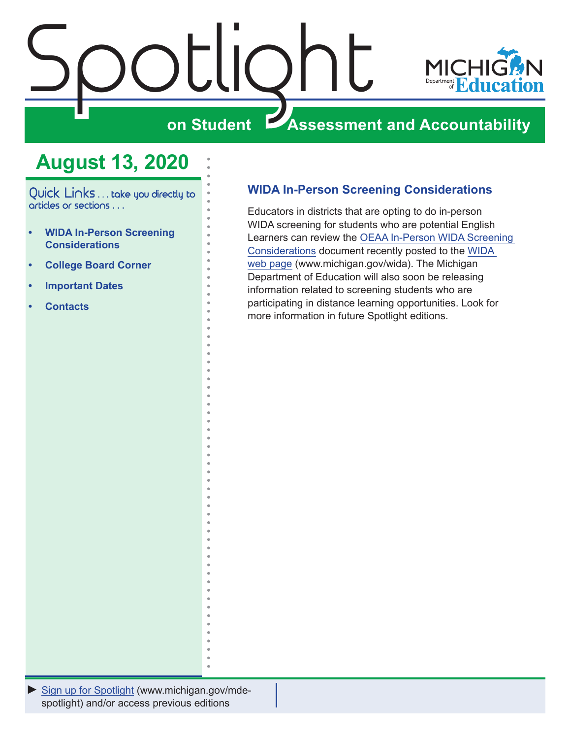<span id="page-0-0"></span>



## **ZASSESSMENT AND ACCOUNTABILITY**

## **August 13, 2020**

Quick Links . . . take you directly to articles or sections . . .

- **• WIDA In-Person Screening Considerations**
- **• [College Board Corner](#page-1-0)**
- **• [Important Dates](#page-3-0)**
- **• [Contacts](#page-4-0)**

## **WIDA In-Person Screening Considerations**

Educators in districts that are opting to do in-person WIDA screening for students who are potential English Learners can review the [OEAA In-Person WIDA Screening](https://www.michigan.gov/documents/mde/In-Person_WIDA_Screening_Considerations_698862_7.pdf)  [Considerations](https://www.michigan.gov/documents/mde/In-Person_WIDA_Screening_Considerations_698862_7.pdf) document recently posted to the [WIDA](www.michigan.gov/wida)  [web page](www.michigan.gov/wida) (www.michigan.gov/wida). The Michigan Department of Education will also soon be releasing information related to screening students who are participating in distance learning opportunities. Look for more information in future Spotlight editions.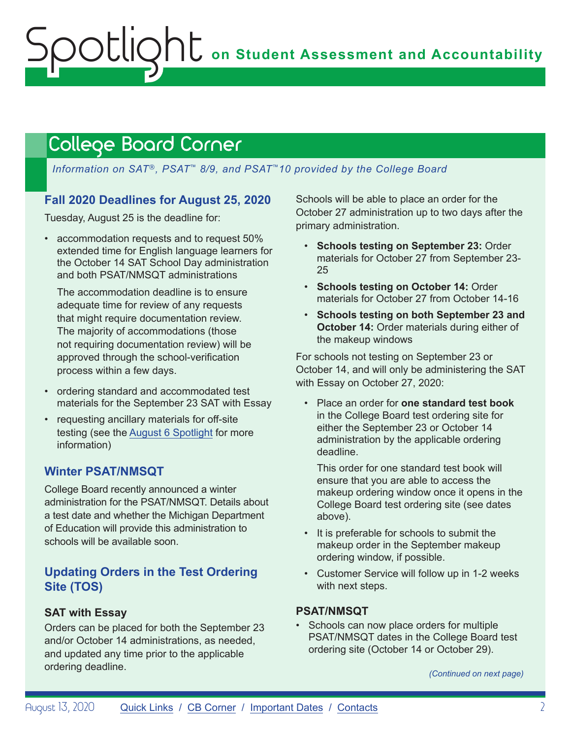## <span id="page-1-1"></span><span id="page-1-0"></span>College Board Corner

*Information on SAT*®*, PSAT*™ *8/9, and PSAT*™*10 provided by the College Board*

### **Fall 2020 Deadlines for August 25, 2020**

Tuesday, August 25 is the deadline for:

• accommodation requests and to request 50% extended time for English language learners for the October 14 SAT School Day administration and both PSAT/NMSQT administrations

The accommodation deadline is to ensure adequate time for review of any requests that might require documentation review. The majority of accommodations (those not requiring documentation review) will be approved through the school-verification process within a few days.

- ordering standard and accommodated test materials for the September 23 SAT with Essay
- requesting ancillary materials for off-site testing (see the [August 6 Spotlight](https://www.michigan.gov/documents/mde/Spotlight_8-6-20_698659_7.pdf) for more information)

### **Winter PSAT/NMSQT**

College Board recently announced a winter administration for the PSAT/NMSQT. Details about a test date and whether the Michigan Department of Education will provide this administration to schools will be available soon.

### **Updating Orders in the Test Ordering Site (TOS)**

### **SAT with Essay**

Orders can be placed for both the September 23 and/or October 14 administrations, as needed, and updated any time prior to the applicable ordering deadline.

Schools will be able to place an order for the October 27 administration up to two days after the primary administration.

- **Schools testing on September 23:** Order materials for October 27 from September 23- 25
- **Schools testing on October 14:** Order materials for October 27 from October 14-16
- **Schools testing on both September 23 and October 14:** Order materials during either of the makeup windows

For schools not testing on September 23 or October 14, and will only be administering the SAT with Essay on October 27, 2020:

• Place an order for **one standard test book**  in the College Board test ordering site for either the September 23 or October 14 administration by the applicable ordering deadline.

This order for one standard test book will ensure that you are able to access the makeup ordering window once it opens in the College Board test ordering site (see dates above).

- It is preferable for schools to submit the makeup order in the September makeup ordering window, if possible.
- Customer Service will follow up in 1-2 weeks with next steps.

### **PSAT/NMSQT**

• Schools can now place orders for multiple PSAT/NMSQT dates in the College Board test ordering site (October 14 or October 29).

*(Continued on next page)*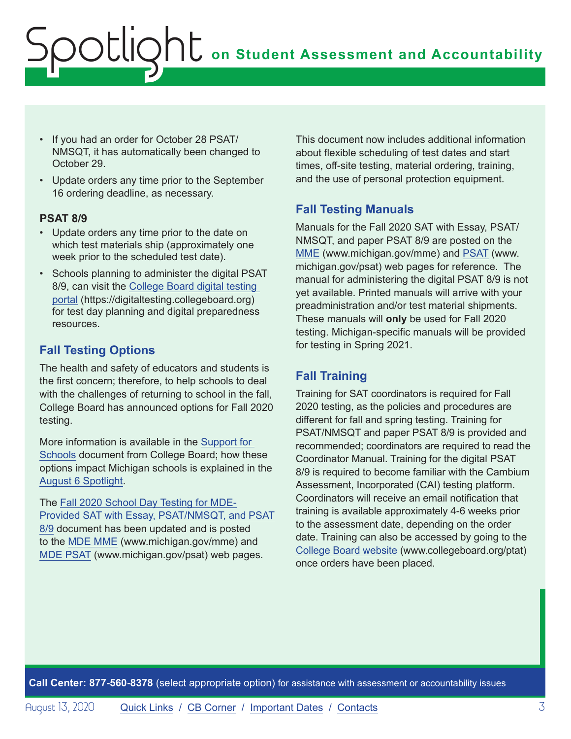# **on Student Assessment and Accountability** Spotlight

- If you had an order for October 28 PSAT/ NMSQT, it has automatically been changed to October 29.
- Update orders any time prior to the September 16 ordering deadline, as necessary.

#### **PSAT 8/9**

- Update orders any time prior to the date on which test materials ship (approximately one week prior to the scheduled test date).
- Schools planning to administer the digital PSAT 8/9, can visit the [College Board digital testing](https://digitaltesting.collegeboard.org)  [portal](https://digitaltesting.collegeboard.org) (https://digitaltesting.collegeboard.org) for test day planning and digital preparedness resources.

## **Fall Testing Options**

The health and safety of educators and students is the first concern; therefore, to help schools to deal with the challenges of returning to school in the fall, College Board has announced options for Fall 2020 testing.

More information is available in the [Support for](https://collegereadiness.collegeboard.org/pdf/fall-2020-flexible-testing-options-guide-sat-suite.pdf)  [Schools](https://collegereadiness.collegeboard.org/pdf/fall-2020-flexible-testing-options-guide-sat-suite.pdf) document from College Board; how these options impact Michigan schools is explained in the [August 6 Spotlight.](https://www.michigan.gov/documents/mde/Spotlight_8-6-20_698659_7.pdf)

The [Fall 2020 School Day Testing for MDE-](https://www.michigan.gov/documents/mde/Fall_2020_School_Day_Testing_for_MDE_Provided_Assessments_690609_7.pdf)[Provided SAT with Essay, PSAT/NMSQT, and PSAT](https://www.michigan.gov/documents/mde/Fall_2020_School_Day_Testing_for_MDE_Provided_Assessments_690609_7.pdf) [8/9](https://www.michigan.gov/documents/mde/Fall_2020_School_Day_Testing_for_MDE_Provided_Assessments_690609_7.pdf) document has been updated and is posted to the [MDE MME](www.michigan.gov/mme) (www.michigan.gov/mme) and [MDE PSAT](http://www.michigan.gov/psat) (www.michigan.gov/psat) web pages.

This document now includes additional information about flexible scheduling of test dates and start times, off-site testing, material ordering, training, and the use of personal protection equipment.

### **Fall Testing Manuals**

Manuals for the Fall 2020 SAT with Essay, PSAT/ NMSQT, and paper PSAT 8/9 are posted on the [MME](www.michigan.gov/mme) (www.michigan.gov/mme) and [PSAT](http://www.michigan.gov/psat) (www. michigan.gov/psat) web pages for reference. The manual for administering the digital PSAT 8/9 is not yet available. Printed manuals will arrive with your preadministration and/or test material shipments. These manuals will **only** be used for Fall 2020 testing. Michigan-specific manuals will be provided for testing in Spring 2021.

## **Fall Training**

Training for SAT coordinators is required for Fall 2020 testing, as the policies and procedures are different for fall and spring testing. Training for PSAT/NMSQT and paper PSAT 8/9 is provided and recommended; coordinators are required to read the Coordinator Manual. Training for the digital PSAT 8/9 is required to become familiar with the Cambium Assessment, Incorporated (CAI) testing platform. Coordinators will receive an email notification that training is available approximately 4-6 weeks prior to the assessment date, depending on the order date. Training can also be accessed by going to the [College Board website](http://www.collegeboard.org/ptat) (www.collegeboard.org/ptat) once orders have been placed.

**Call Center: 877-560-8378** (select appropriate option) for assistance with assessment or accountability issues

August 13, 2020 [Quick Links](#page-0-0) / [CB Corner](#page-1-1) / [Important Dates](#page-3-1) / [Contacts](#page-4-1) 3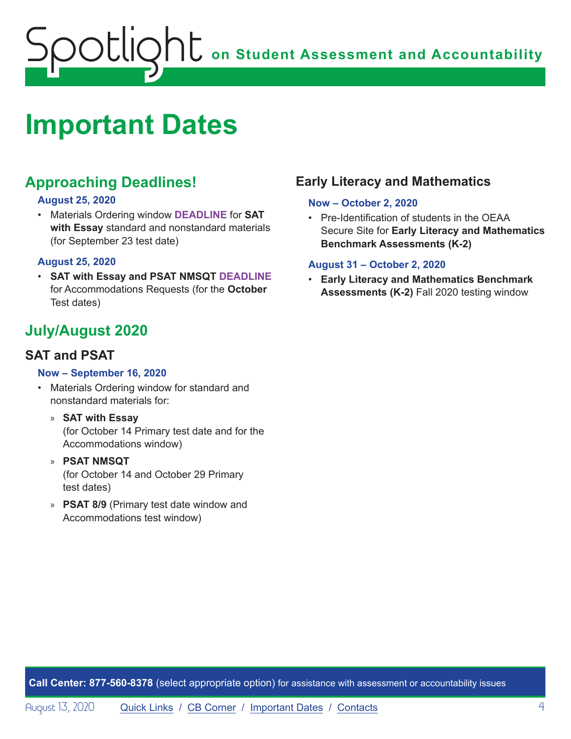## <span id="page-3-0"></span>**on Student Assessment and Accountability** Spotlight

## <span id="page-3-1"></span>**Important Dates**

## **Approaching Deadlines!**

#### **August 25, 2020**

• Materials Ordering window **DEADLINE** for **SAT with Essay** standard and nonstandard materials (for September 23 test date)

#### **August 25, 2020**

• **SAT with Essay and PSAT NMSQT DEADLINE**  for Accommodations Requests (for the **October**  Test dates)

## **July/August 2020**

## **SAT and PSAT**

#### **Now – September 16, 2020**

- Materials Ordering window for standard and nonstandard materials for:
	- » **SAT with Essay** (for October 14 Primary test date and for the Accommodations window)
	- » **PSAT NMSQT** (for October 14 and October 29 Primary test dates)
	- » **PSAT 8/9** (Primary test date window and Accommodations test window)

## **Early Literacy and Mathematics**

#### **Now – October 2, 2020**

• Pre-Identification of students in the OEAA Secure Site for **Early Literacy and Mathematics Benchmark Assessments (K-2)**

#### **August 31 – October 2, 2020**

• **Early Literacy and Mathematics Benchmark Assessments (K-2)** Fall 2020 testing window

**Call Center: 877-560-8378** (select appropriate option) for assistance with assessment or accountability issues